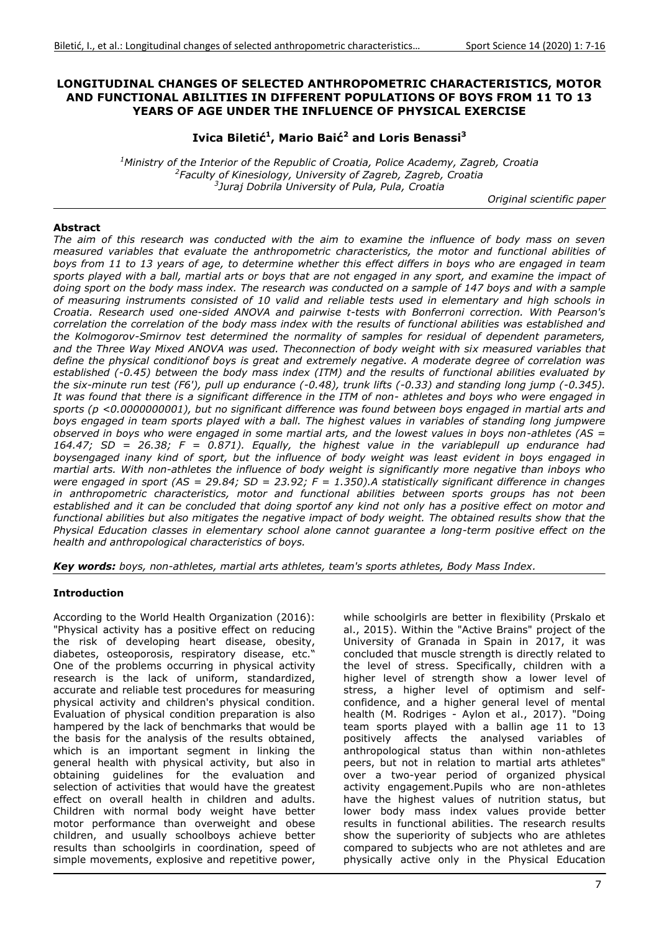### **LONGITUDINAL CHANGES OF SELECTED ANTHROPOMETRIC CHARACTERISTICS, MOTOR AND FUNCTIONAL ABILITIES IN DIFFERENT POPULATIONS OF BOYS FROM 11 TO 13 YEARS OF AGE UNDER THE INFLUENCE OF PHYSICAL EXERCISE**

**Ivica Biletić<sup>1</sup> , Mario Baić<sup>2</sup> and Loris Benassi<sup>3</sup>**

*<sup>1</sup>Ministry of the Interior of the Republic of Croatia, Police Academy, Zagreb, Croatia 2 Faculty of Kinesiology, University of Zagreb, Zagreb, Croatia 3 Juraj Dobrila University of Pula, Pula, Croatia* 

*Original scientific paper* 

### **Abstract**

*The aim of this research was conducted with the aim to examine the influence of body mass on seven measured variables that evaluate the anthropometric characteristics, the motor and functional abilities of boys from 11 to 13 years of age, to determine whether this effect differs in boys who are engaged in team sports played with a ball, martial arts or boys that are not engaged in any sport, and examine the impact of doing sport on the body mass index. The research was conducted on a sample of 147 boys and with a sample of measuring instruments consisted of 10 valid and reliable tests used in elementary and high schools in Croatia. Research used one-sided ANOVA and pairwise t-tests with Bonferroni correction. With Pearson's correlation the correlation of the body mass index with the results of functional abilities was established and the Kolmogorov-Smirnov test determined the normality of samples for residual of dependent parameters,*  and the Three Way Mixed ANOVA was used. Theconnection of body weight with six measured variables that *define the physical conditionof boys is great and extremely negative. A moderate degree of correlation was established (-0.45) between the body mass index (ITM) and the results of functional abilities evaluated by the six-minute run test (F6'), pull up endurance (-0.48), trunk lifts (-0.33) and standing long jump (-0.345). It was found that there is a significant difference in the ITM of non- athletes and boys who were engaged in sports (p <0.0000000001), but no significant difference was found between boys engaged in martial arts and boys engaged in team sports played with a ball. The highest values in variables of standing long jumpwere observed in boys who were engaged in some martial arts, and the lowest values in boys non-athletes (AS = 164.47; SD = 26.38; F = 0.871). Equally, the highest value in the variablepull up endurance had boysengaged inany kind of sport, but the influence of body weight was least evident in boys engaged in martial arts. With non-athletes the influence of body weight is significantly more negative than inboys who were engaged in sport (AS = 29.84; SD = 23.92; F = 1.350).A statistically significant difference in changes in anthropometric characteristics, motor and functional abilities between sports groups has not been established and it can be concluded that doing sportof any kind not only has a positive effect on motor and functional abilities but also mitigates the negative impact of body weight. The obtained results show that the Physical Education classes in elementary school alone cannot guarantee a long-term positive effect on the health and anthropological characteristics of boys.* 

*Key words: boys, non-athletes, martial arts athletes, team's sports athletes, Body Mass Index.*

### **Introduction**

According to the World Health Organization (2016): "Physical activity has a positive effect on reducing the risk of developing heart disease, obesity, diabetes, osteoporosis, respiratory disease, etc." One of the problems occurring in physical activity research is the lack of uniform, standardized, accurate and reliable test procedures for measuring physical activity and children's physical condition. Evaluation of physical condition preparation is also hampered by the lack of benchmarks that would be the basis for the analysis of the results obtained, which is an important segment in linking the general health with physical activity, but also in obtaining guidelines for the evaluation and selection of activities that would have the greatest effect on overall health in children and adults. Children with normal body weight have better motor performance than overweight and obese children, and usually schoolboys achieve better results than schoolgirls in coordination, speed of simple movements, explosive and repetitive power,

while schoolgirls are better in flexibility (Prskalo et al., 2015). Within the "Active Brains" project of the University of Granada in Spain in 2017, it was concluded that muscle strength is directly related to the level of stress. Specifically, children with a higher level of strength show a lower level of stress, a higher level of optimism and selfconfidence, and a higher general level of mental health (M. Rodriges - Aylon et al., 2017). "Doing team sports played with a ballin age  $11$  to  $13$ positively affects the analysed variables of anthropological status than within non-athletes peers, but not in relation to martial arts athletes" over a two-year period of organized physical activity engagement.Pupils who are non-athletes have the highest values of nutrition status, but lower body mass index values provide better results in functional abilities. The research results show the superiority of subjects who are athletes compared to subjects who are not athletes and are physically active only in the Physical Education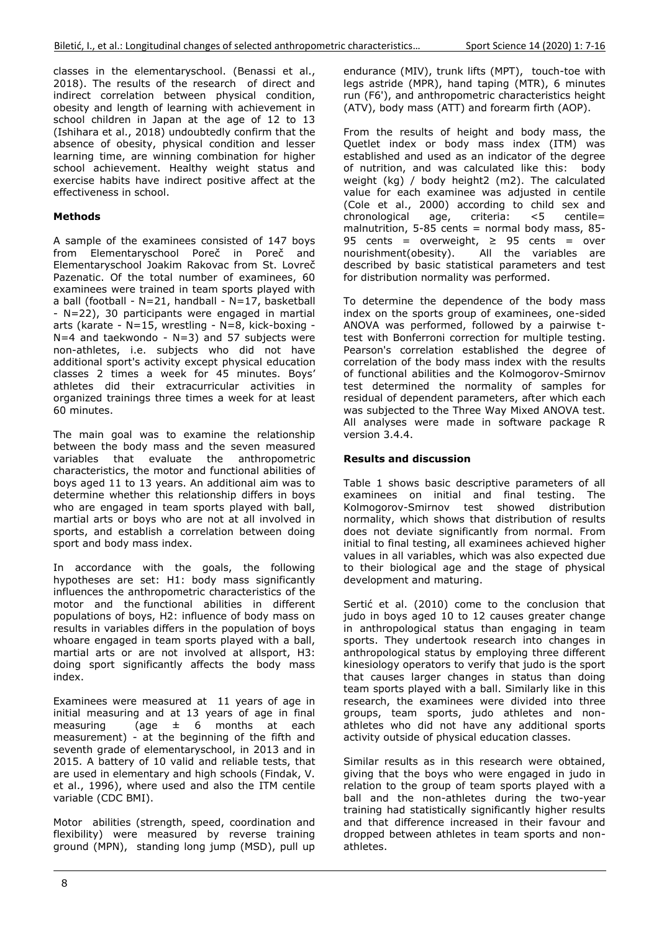classes in the elementaryschool. (Benassi et al., 2018). The results of the research of direct and indirect correlation between physical condition, obesity and length of learning with achievement in school children in Japan at the age of 12 to 13 (Ishihara et al., 2018) undoubtedly confirm that the absence of obesity, physical condition and lesser learning time, are winning combination for higher school achievement. Healthy weight status and exercise habits have indirect positive affect at the effectiveness in school.

# **Methods**

A sample of the examinees consisted of 147 boys from Elementaryschool Poreč in Poreč and Elementaryschool Joakim Rakovac from St. Lovreč Pazenatic. Of the total number of examinees, 60 examinees were trained in team sports played with a ball (football -  $N=21$ , handball -  $N=17$ , basketball - N=22), 30 participants were engaged in martial arts (karate - N=15, wrestling - N=8, kick-boxing -  $N=4$  and taekwondo - N=3) and 57 subjects were non-athletes, i.e. subjects who did not have additional sport's activity except physical education classes 2 times a week for 45 minutes. Boys' athletes did their extracurricular activities in organized trainings three times a week for at least 60 minutes.

The main goal was to examine the relationship between the body mass and the seven measured variables that evaluate the anthropometric characteristics, the motor and functional abilities of boys aged 11 to 13 years. An additional aim was to determine whether this relationship differs in boys who are engaged in team sports played with ball, martial arts or boys who are not at all involved in sports, and establish a correlation between doing sport and body mass index.

In accordance with the goals, the following hypotheses are set: H1: body mass significantly influences the anthropometric characteristics of the motor and the functional abilities in different populations of boys, H2: influence of body mass on results in variables differs in the population of boys whoare engaged in team sports played with a ball, martial arts or are not involved at allsport, H3: doing sport significantly affects the body mass index.

Examinees were measured at 11 years of age in initial measuring and at 13 years of age in final measuring  $\overline{a}$  (age  $\pm$  6 months at each measurement) - at the beginning of the fifth and seventh grade of elementaryschool, in 2013 and in 2015. A battery of 10 valid and reliable tests, that are used in elementary and high schools (Findak, V. et al., 1996), where used and also the ITM centile variable (CDC BMI).

Motor abilities (strength, speed, coordination and flexibility) were measured by reverse training ground (MPN), standing long jump (MSD), pull up

endurance (MIV), trunk lifts (MPT), touch-toe with legs astride (MPR), hand taping (MTR), 6 minutes run (F6'), and anthropometric characteristics height (ATV), body mass (ATT) and forearm firth (AOP).

From the results of height and body mass, the Quetlet index or body mass index (ITM) was established and used as an indicator of the degree of nutrition, and was calculated like this: body weight (kg) / body height2 (m2). The calculated value for each examinee was adjusted in centile (Cole et al., 2000) according to child sex and chronological age, criteria: <5 centile= malnutrition,  $5-85$  cents = normal body mass,  $85-$ 95 cents = overweight,  $\ge$  95 cents = over<br>nourishment(obesity). All the variables are  $\overline{a}$  All the variables are described by basic statistical parameters and test for distribution normality was performed.

To determine the dependence of the body mass index on the sports group of examinees, one-sided ANOVA was performed, followed by a pairwise ttest with Bonferroni correction for multiple testing. Pearson's correlation established the degree of correlation of the body mass index with the results of functional abilities and the Kolmogorov-Smirnov test determined the normality of samples for residual of dependent parameters, after which each was subjected to the Three Way Mixed ANOVA test. All analyses were made in software package R version 3.4.4.

# **Results and discussion**

Table 1 shows basic descriptive parameters of all examinees on initial and final testing. The Kolmogorov-Smirnov test showed distribution normality, which shows that distribution of results does not deviate significantly from normal. From initial to final testing, all examinees achieved higher values in all variables, which was also expected due to their biological age and the stage of physical development and maturing.

Sertić et al. (2010) come to the conclusion that judo in boys aged 10 to 12 causes greater change in anthropological status than engaging in team sports. They undertook research into changes in anthropological status by employing three different kinesiology operators to verify that judo is the sport that causes larger changes in status than doing team sports played with a ball. Similarly like in this research, the examinees were divided into three groups, team sports, judo athletes and nonathletes who did not have any additional sports activity outside of physical education classes.

Similar results as in this research were obtained, giving that the boys who were engaged in judo in relation to the group of team sports played with a ball and the non-athletes during the two-year training had statistically significantly higher results and that difference increased in their favour and dropped between athletes in team sports and nonathletes.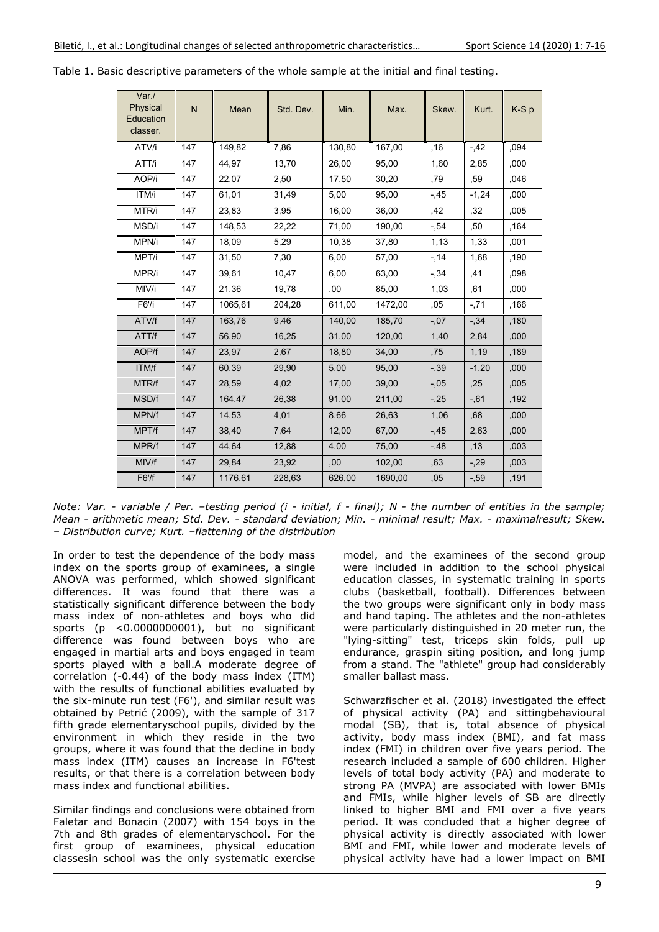| Var./<br>Physical<br>Education<br>classer. | N   | Mean    | Std. Dev. | Min.   | Max.    | Skew.   | Kurt.   | K-Sp |
|--------------------------------------------|-----|---------|-----------|--------|---------|---------|---------|------|
| ATV/i                                      | 147 | 149,82  | 7,86      | 130,80 | 167,00  | .16     | $-42$   | ,094 |
| ATT/i                                      | 147 | 44,97   | 13,70     | 26,00  | 95,00   | 1,60    | 2,85    | ,000 |
| AOP/i                                      | 147 | 22,07   | 2,50      | 17,50  | 30,20   | ,79     | .59     | 046  |
| ITM/i                                      | 147 | 61,01   | 31,49     | 5,00   | 95,00   | $-45$   | $-1,24$ | ,000 |
| MTR/i                                      | 147 | 23,83   | 3,95      | 16,00  | 36,00   | ,42     | 32      | ,005 |
| MSD/i                                      | 147 | 148,53  | 22,22     | 71,00  | 190,00  | $-0.54$ | ,50     | ,164 |
| MPN/i                                      | 147 | 18,09   | 5,29      | 10,38  | 37,80   | 1,13    | 1,33    | ,001 |
| MPT/i                                      | 147 | 31,50   | 7,30      | 6,00   | 57,00   | $-14$   | 1,68    | ,190 |
| MPR/i                                      | 147 | 39.61   | 10,47     | 6,00   | 63.00   | $-.34$  | ,41     | ,098 |
| MIV/i                                      | 147 | 21,36   | 19,78     | .00    | 85,00   | 1,03    | .61     | ,000 |
| F6'/i                                      | 147 | 1065,61 | 204,28    | 611,00 | 1472,00 | .05     | $-71$   | ,166 |
| ATV/f                                      | 147 | 163,76  | 9,46      | 140,00 | 185,70  | $-.07$  | $-0.34$ | ,180 |
| ATT/f                                      | 147 | 56,90   | 16,25     | 31,00  | 120,00  | 1,40    | 2,84    | ,000 |
| AOP/f                                      | 147 | 23,97   | 2,67      | 18,80  | 34,00   | ,75     | 1,19    | ,189 |
| ITM/f                                      | 147 | 60,39   | 29,90     | 5,00   | 95,00   | $-0.39$ | $-1,20$ | ,000 |
| MTR/f                                      | 147 | 28,59   | 4,02      | 17,00  | 39,00   | $-.05$  | ,25     | ,005 |
| <b>MSD/f</b>                               | 147 | 164,47  | 26,38     | 91,00  | 211,00  | $-25$   | $-0.61$ | ,192 |
| MPN/f                                      | 147 | 14,53   | 4,01      | 8,66   | 26,63   | 1,06    | ,68     | ,000 |
| MPT/f                                      | 147 | 38,40   | 7,64      | 12,00  | 67,00   | $-45$   | 2,63    | ,000 |
| MPR/f                                      | 147 | 44.64   | 12,88     | 4,00   | 75.00   | $-48$   | .13     | ,003 |
| MIV/f                                      | 147 | 29,84   | 23,92     | .00    | 102.00  | ,63     | $-29$   | ,003 |
| F6'/f                                      | 147 | 1176,61 | 228,63    | 626,00 | 1690,00 | ,05     | $-0.59$ | ,191 |

Table 1. Basic descriptive parameters of the whole sample at the initial and final testing.

*Note: Var. - variable / Per. –testing period (i - initial, f - final); N - the number of entities in the sample; Mean - arithmetic mean; Std. Dev. - standard deviation; Min. - minimal result; Max. - maximalresult; Skew. – Distribution curve; Kurt. –flattening of the distribution* 

In order to test the dependence of the body mass index on the sports group of examinees, a single ANOVA was performed, which showed significant differences. It was found that there was a statistically significant difference between the body mass index of non-athletes and boys who did sports (p <0.0000000001), but no significant difference was found between boys who are engaged in martial arts and boys engaged in team sports played with a ball.A moderate degree of correlation (-0.44) of the body mass index (ITM) with the results of functional abilities evaluated by the six-minute run test (F6'), and similar result was obtained by Petrić (2009), with the sample of 317 fifth grade elementaryschool pupils, divided by the environment in which they reside in the two groups, where it was found that the decline in body mass index (ITM) causes an increase in F6'test results, or that there is a correlation between body mass index and functional abilities.

Similar findings and conclusions were obtained from Faletar and Bonacin (2007) with 154 boys in the 7th and 8th grades of elementaryschool. For the first group of examinees, physical education classesin school was the only systematic exercise

model, and the examinees of the second group were included in addition to the school physical education classes, in systematic training in sports clubs (basketball, football). Differences between the two groups were significant only in body mass and hand taping. The athletes and the non-athletes were particularly distinguished in 20 meter run, the "lying-sitting" test, triceps skin folds, pull up endurance, graspin siting position, and long jump from a stand. The "athlete" group had considerably smaller ballast mass.

Schwarzfischer et al. (2018) investigated the effect of physical activity (PA) and sittingbehavioural modal (SB), that is, total absence of physical activity, body mass index (BMI), and fat mass index (FMI) in children over five years period. The research included a sample of 600 children. Higher levels of total body activity (PA) and moderate to strong PA (MVPA) are associated with lower BMIs and FMIs, while higher levels of SB are directly linked to higher BMI and FMI over a five years period. It was concluded that a higher degree of physical activity is directly associated with lower BMI and FMI, while lower and moderate levels of physical activity have had a lower impact on BMI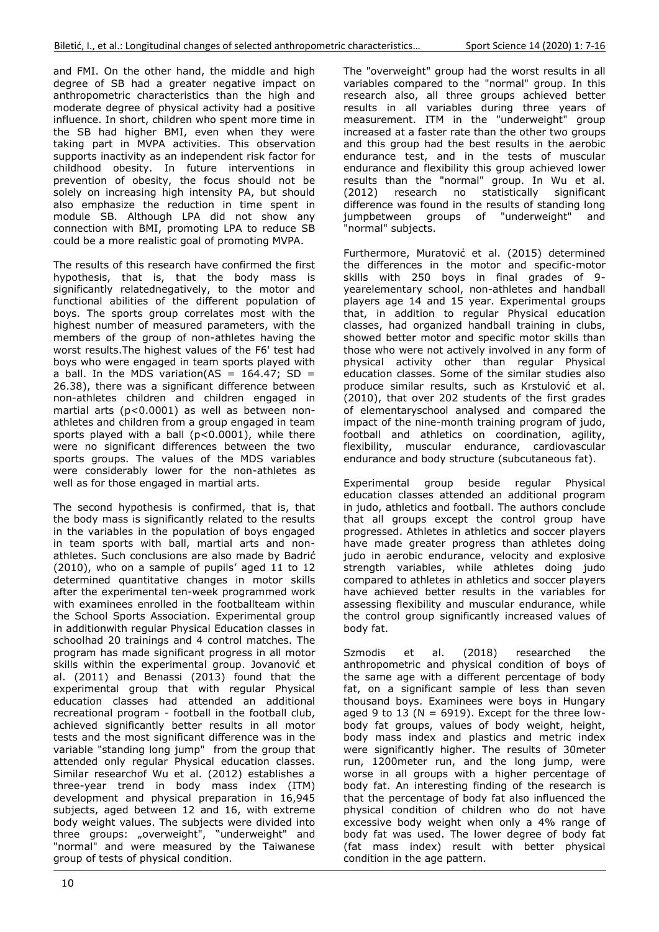and FMI. On the other hand, the middle and high degree of SB had a greater negative impact on anthropometric characteristics than the high and moderate degree of physical activity had a positive influence. In short, children who spent more time in the SB had higher BMI, even when they were taking part in MVPA activities. This observation supports inactivity as an independent risk factor for childhood obesity. In future interventions in prevention of obesity, the focus should not be solely on increasing high intensity PA, but should also emphasize the reduction in time spent in module SB. Although LPA did not show any connection with BMI, promoting LPA to reduce SB could be a more realistic goal of promoting MVPA.

The results of this research have confirmed the first hypothesis, that is, that the body mass is significantly relatednegatively, to the motor and functional abilities of the different population of boys. The sports group correlates most with the highest number of measured parameters, with the members of the group of non-athletes having the worst results.The highest values of the F6' test had boys who were engaged in team sports played with a ball. In the MDS variation(AS =  $164.47$ ; SD = 26.38), there was a significant difference between non-athletes children and children engaged in martial arts (p<0.0001) as well as between nonathletes and children from a group engaged in team sports played with a ball (p<0.0001), while there were no significant differences between the two sports groups. The values of the MDS variables were considerably lower for the non-athletes as well as for those engaged in martial arts.

The second hypothesis is confirmed, that is, that the body mass is significantly related to the results in the variables in the population of boys engaged in team sports with ball, martial arts and nonathletes. Such conclusions are also made by Badrić (2010), who on a sample of pupils' aged 11 to 12 determined quantitative changes in motor skills after the experimental ten-week programmed work with examinees enrolled in the footballteam within the School Sports Association. Experimental group in additionwith regular Physical Education classes in schoolhad 20 trainings and 4 control matches. The program has made significant progress in all motor skills within the experimental group. Jovanović et al. (2011) and Benassi (2013) found that the experimental group that with regular Physical education classes had attended an additional recreational program - football in the football club, achieved significantly better results in all motor tests and the most significant difference was in the variable "standing long jump" from the group that attended only regular Physical education classes. Similar researchof Wu et al. (2012) establishes a three-year trend in body mass index (ITM) development and physical preparation in 16,945 subjects, aged between 12 and 16, with extreme body weight values. The subjects were divided into three groups: "overweight", "underweight" and "normal" and were measured by the Taiwanese group of tests of physical condition.

The "overweight" group had the worst results in all variables compared to the "normal" group. In this research also, all three groups achieved better results in all variables during three years of measurement. ITM in the "underweight" group increased at a faster rate than the other two groups and this group had the best results in the aerobic endurance test, and in the tests of muscular endurance and flexibility this group achieved lower results than the "normal" group. In Wu et al. (2012) research no statistically significant difference was found in the results of standing long jumpbetween groups of "underweight" and "normal" subjects.

Furthermore, Muratović et al. (2015) determined the differences in the motor and specific-motor skills with 250 boys in final grades of 9 yearelementary school, non-athletes and handball players age 14 and 15 year. Experimental groups that, in addition to regular Physical education classes, had organized handball training in clubs, showed better motor and specific motor skills than those who were not actively involved in any form of physical activity other than regular Physical education classes. Some of the similar studies also produce similar results, such as Krstulović et al. (2010), that over 202 students of the first grades of elementaryschool analysed and compared the impact of the nine-month training program of judo, football and athletics on coordination, agility, flexibility, muscular endurance, cardiovascular endurance and body structure (subcutaneous fat).

Experimental group beside regular Physical education classes attended an additional program in judo, athletics and football. The authors conclude that all groups except the control group have progressed. Athletes in athletics and soccer players have made greater progress than athletes doing judo in aerobic endurance, velocity and explosive strength variables, while athletes doing judo compared to athletes in athletics and soccer players have achieved better results in the variables for assessing flexibility and muscular endurance, while the control group significantly increased values of body fat.

Szmodis et al. (2018) researched the anthropometric and physical condition of boys of the same age with a different percentage of body fat, on a significant sample of less than seven thousand boys. Examinees were boys in Hungary aged 9 to 13 ( $N = 6919$ ). Except for the three lowbody fat groups, values of body weight, height, body mass index and plastics and metric index were significantly higher. The results of 30meter run, 1200meter run, and the long jump, were worse in all groups with a higher percentage of body fat. An interesting finding of the research is that the percentage of body fat also influenced the physical condition of children who do not have excessive body weight when only a 4% range of body fat was used. The lower degree of body fat (fat mass index) result with better physical condition in the age pattern.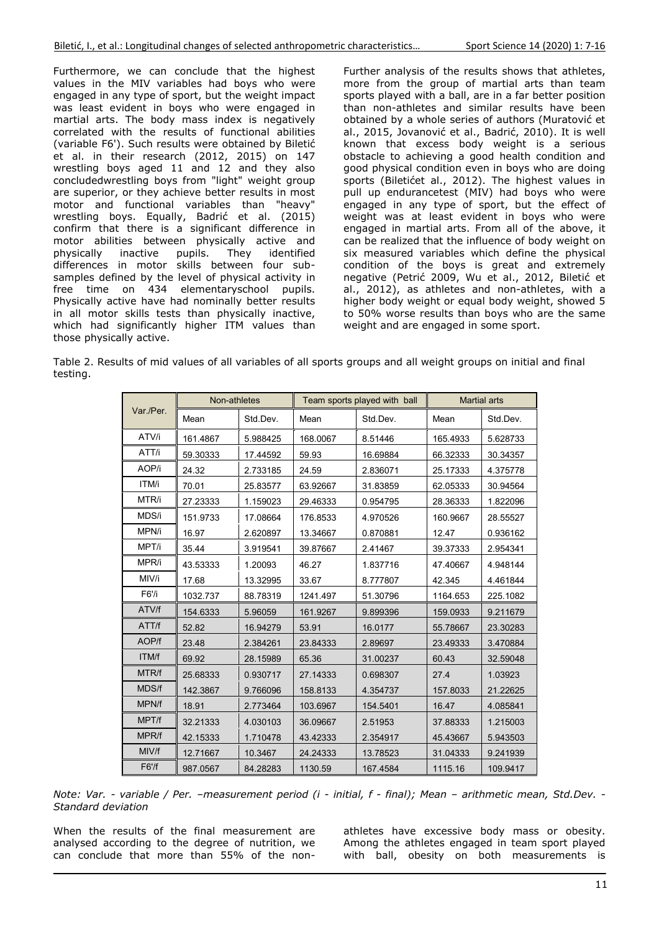Furthermore, we can conclude that the highest values in the MIV variables had boys who were engaged in any type of sport, but the weight impact was least evident in boys who were engaged in martial arts. The body mass index is negatively correlated with the results of functional abilities (variable F6'). Such results were obtained by Biletić et al. in their research (2012, 2015) on 147 wrestling boys aged 11 and 12 and they also concludedwrestling boys from "light" weight group are superior, or they achieve better results in most motor and functional variables than "heavy" wrestling boys. Equally, Badrić et al. (2015) confirm that there is a significant difference in motor abilities between physically active and<br>physically inactive pupils. They identified physically inactive pupils. They identified differences in motor skills between four subsamples defined by the level of physical activity in free time on 434 elementaryschool pupils. Physically active have had nominally better results in all motor skills tests than physically inactive, which had significantly higher ITM values than those physically active.

Further analysis of the results shows that athletes, more from the group of martial arts than team sports played with a ball, are in a far better position than non-athletes and similar results have been obtained by a whole series of authors (Muratović et al., 2015, Jovanović et al., Badrić, 2010). It is well known that excess body weight is a serious obstacle to achieving a good health condition and good physical condition even in boys who are doing sports (Biletićet al., 2012). The highest values in pull up endurancetest (MIV) had boys who were engaged in any type of sport, but the effect of weight was at least evident in boys who were engaged in martial arts. From all of the above, it can be realized that the influence of body weight on six measured variables which define the physical condition of the boys is great and extremely negative (Petrić 2009, Wu et al., 2012, Biletić et al., 2012), as athletes and non-athletes, with a higher body weight or equal body weight, showed 5 to 50% worse results than boys who are the same weight and are engaged in some sport.

Table 2. Results of mid values of all variables of all sports groups and all weight groups on initial and final testing.

|           | Non-athletes |          |          | Team sports played with ball | <b>Martial arts</b> |          |  |
|-----------|--------------|----------|----------|------------------------------|---------------------|----------|--|
| Var./Per. | Mean         | Std.Dev. | Mean     | Std.Dev.                     | Mean                | Std.Dev. |  |
| ATV/i     | 161.4867     | 5.988425 | 168.0067 | 8.51446                      | 165.4933            | 5.628733 |  |
| ATT/i     | 59.30333     | 17.44592 | 59.93    | 16.69884                     | 66.32333            | 30.34357 |  |
| AOP/i     | 24.32        | 2.733185 | 24.59    | 2.836071                     | 25.17333            | 4.375778 |  |
| ITM/i     | 70.01        | 25.83577 | 63.92667 | 31.83859                     | 62.05333            | 30.94564 |  |
| MTR/i     | 27.23333     | 1.159023 | 29.46333 | 0.954795                     | 28.36333            | 1.822096 |  |
| MDS/i     | 151.9733     | 17.08664 | 176.8533 | 4.970526                     | 160.9667            | 28.55527 |  |
| MPN/i     | 16.97        | 2.620897 | 13.34667 | 0.870881                     | 12.47               | 0.936162 |  |
| MPT/i     | 35.44        | 3.919541 | 39.87667 | 2.41467                      | 39.37333            | 2.954341 |  |
| MPR/i     | 43.53333     | 1.20093  | 46.27    | 1.837716                     | 47.40667            | 4.948144 |  |
| MIV/i     | 17.68        | 13.32995 | 33.67    | 8.777807                     | 42.345              | 4.461844 |  |
| F6'/i     | 1032.737     | 88.78319 | 1241.497 | 51.30796                     | 1164.653            | 225.1082 |  |
| ATV/f     | 154.6333     | 5.96059  | 161.9267 | 9.899396                     | 159.0933            | 9.211679 |  |
| ATT/f     | 52.82        | 16.94279 | 53.91    | 16.0177                      | 55.78667            | 23.30283 |  |
| AOP/f     | 23.48        | 2.384261 | 23.84333 | 2.89697                      | 23.49333            | 3.470884 |  |
| ITM/f     | 69.92        | 28.15989 | 65.36    | 31.00237                     | 60.43               | 32.59048 |  |
| MTR/f     | 25.68333     | 0.930717 | 27.14333 | 0.698307                     | 27.4                | 1.03923  |  |
| MDS/f     | 142.3867     | 9.766096 | 158.8133 | 4.354737                     | 157.8033            | 21.22625 |  |
| MPN/f     | 18.91        | 2.773464 | 103.6967 | 154.5401                     | 16.47               | 4.085841 |  |
| MPT/f     | 32.21333     | 4.030103 | 36.09667 | 2.51953                      | 37.88333            | 1.215003 |  |
| MPR/f     | 42.15333     | 1.710478 | 43.42333 | 2.354917                     | 45.43667            | 5.943503 |  |
| MIV/f     | 12.71667     | 10.3467  | 24.24333 | 13.78523                     | 31.04333            | 9.241939 |  |
| F6'       | 987.0567     | 84.28283 | 1130.59  | 167.4584                     | 1115.16             | 109.9417 |  |

*Note: Var. - variable / Per. –measurement period (i - initial, f - final); Mean – arithmetic mean, Std.Dev. - Standard deviation* 

When the results of the final measurement are analysed according to the degree of nutrition, we can conclude that more than 55% of the nonathletes have excessive body mass or obesity. Among the athletes engaged in team sport played with ball, obesity on both measurements is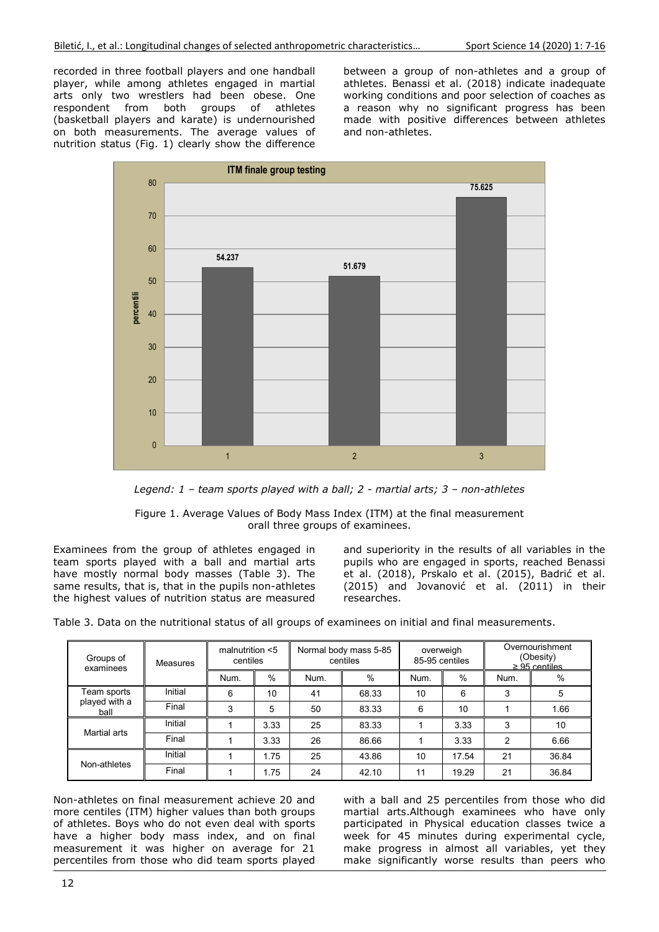recorded in three football players and one handball player, while among athletes engaged in martial arts only two wrestlers had been obese. One respondent from both groups of athletes (basketball players and karate) is undernourished on both measurements. The average values of nutrition status (Fig. 1) clearly show the difference

between a group of non-athletes and a group of athletes. Benassi et al. (2018) indicate inadequate working conditions and poor selection of coaches as a reason why no significant progress has been made with positive differences between athletes and non-athletes.



*Legend: 1 – team sports played with a ball; 2 - martial arts; 3 – non-athletes* 

Figure 1. Average Values of Body Mass Index (ITM) at the final measurement orall three groups of examinees.

Examinees from the group of athletes engaged in team sports played with a ball and martial arts have mostly normal body masses (Table 3). The same results, that is, that in the pupils non-athletes the highest values of nutrition status are measured and superiority in the results of all variables in the pupils who are engaged in sports, reached Benassi et al. (2018), Prskalo et al. (2015), Badrić et al. (2015) and Jovanović et al. (2011) in their researches.

Table 3. Data on the nutritional status of all groups of examinees on initial and final measurements.

| Groups of<br>examinees               | Measures | malnutrition $<$ 5<br>centiles |      | Normal body mass 5-85<br>centiles |       | overweigh<br>85-95 centiles |       | Overnourishment<br>(Obesity)<br>$\geq$ 95 centiles |       |
|--------------------------------------|----------|--------------------------------|------|-----------------------------------|-------|-----------------------------|-------|----------------------------------------------------|-------|
|                                      |          | Num.                           | %    | Num.                              | %     | Num.                        | %     | Num.                                               | %     |
| Team sports<br>played with a<br>ball | Initial  | 6                              | 10   | 41                                | 68.33 | 10                          | 6     | 3                                                  | 5     |
|                                      | Final    | 3                              | 5    | 50                                | 83.33 | 6                           | 10    |                                                    | 1.66  |
| Martial arts                         | Initial  |                                | 3.33 | 25                                | 83.33 |                             | 3.33  | 3                                                  | 10    |
|                                      | Final    |                                | 3.33 | 26                                | 86.66 |                             | 3.33  | $\mathfrak{p}$                                     | 6.66  |
| Non-athletes                         | Initial  |                                | 1.75 | 25                                | 43.86 | 10                          | 17.54 | 21                                                 | 36.84 |
|                                      | Final    |                                | 1.75 | 24                                | 42.10 | 11                          | 19.29 | 21                                                 | 36.84 |

Non-athletes on final measurement achieve 20 and more centiles (ITM) higher values than both groups of athletes. Boys who do not even deal with sports have a higher body mass index, and on final measurement it was higher on average for 21 percentiles from those who did team sports played

with a ball and 25 percentiles from those who did martial arts.Although examinees who have only participated in Physical education classes twice a week for 45 minutes during experimental cycle, make progress in almost all variables, yet they make significantly worse results than peers who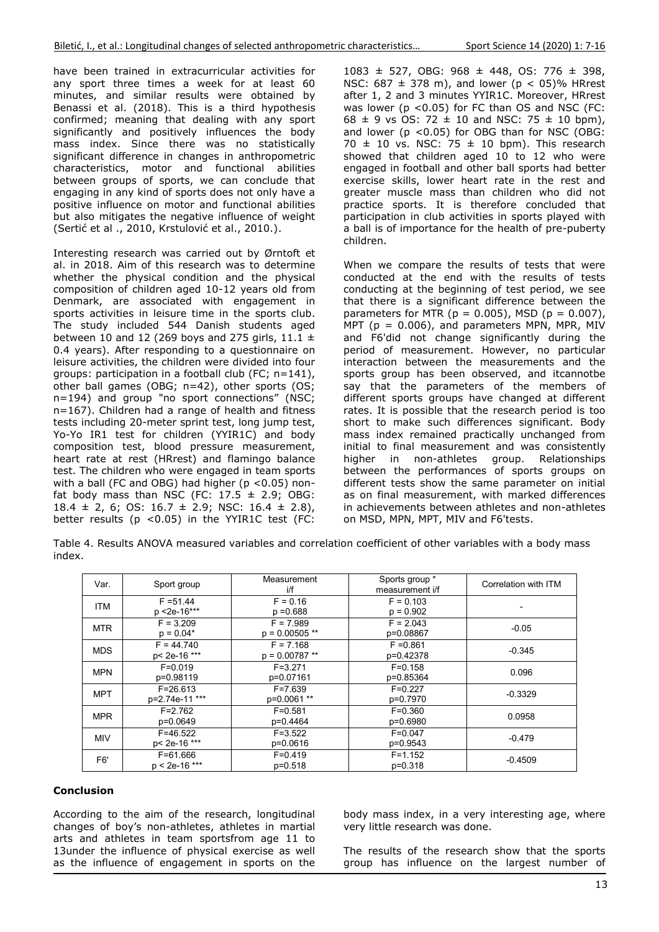have been trained in extracurricular activities for any sport three times a week for at least 60 minutes, and similar results were obtained by Benassi et al. (2018). This is a third hypothesis confirmed; meaning that dealing with any sport significantly and positively influences the body mass index. Since there was no statistically significant difference in changes in anthropometric characteristics, motor and functional abilities between groups of sports, we can conclude that engaging in any kind of sports does not only have a positive influence on motor and functional abilities but also mitigates the negative influence of weight (Sertić et al ., 2010, Krstulović et al., 2010.).

Interesting research was carried out by Ørntoft et al. in 2018. Aim of this research was to determine whether the physical condition and the physical composition of children aged 10-12 years old from Denmark, are associated with engagement in sports activities in leisure time in the sports club. The study included 544 Danish students aged between 10 and 12 (269 boys and 275 girls, 11.1  $\pm$ 0.4 years). After responding to a questionnaire on leisure activities, the children were divided into four groups: participation in a football club (FC; n=141), other ball games (OBG; n=42), other sports (OS; n=194) and group "no sport connections" (NSC; n=167). Children had a range of health and fitness tests including 20-meter sprint test, long jump test, Yo-Yo IR1 test for children (YYIR1C) and body composition test, blood pressure measurement, heart rate at rest (HRrest) and flamingo balance test. The children who were engaged in team sports with a ball (FC and OBG) had higher ( $p$  <0.05) nonfat body mass than NSC (FC:  $17.5 \pm 2.9$ ; OBG:  $18.4 \pm 2$ , 6; OS:  $16.7 \pm 2.9$ ; NSC:  $16.4 \pm 2.8$ ), better results (p <0.05) in the YYIR1C test (FC:

1083 ± 527, OBG: 968 ± 448, OS: 776 ± 398, NSC:  $687 \pm 378$  m), and lower ( $p < 05$ )% HRrest after 1, 2 and 3 minutes YYIR1C. Moreover, HRrest was lower (p <0.05) for FC than OS and NSC (FC:  $68 \pm 9$  vs OS: 72  $\pm$  10 and NSC: 75  $\pm$  10 bpm), and lower ( $p$  <0.05) for OBG than for NSC (OBG: 70  $\pm$  10 vs. NSC: 75  $\pm$  10 bpm). This research showed that children aged  $10$  to  $12$  who were engaged in football and other ball sports had better exercise skills, lower heart rate in the rest and greater muscle mass than children who did not practice sports. It is therefore concluded that participation in club activities in sports played with a ball is of importance for the health of pre-puberty children.

When we compare the results of tests that were conducted at the end with the results of tests conducting at the beginning of test period, we see that there is a significant difference between the parameters for MTR ( $p = 0.005$ ), MSD ( $p = 0.007$ ), MPT ( $p = 0.006$ ), and parameters MPN, MPR, MIV and F6'did not change significantly during the period of measurement. However, no particular interaction between the measurements and the sports group has been observed, and itcannotbe say that the parameters of the members of different sports groups have changed at different rates. It is possible that the research period is too short to make such differences significant. Body mass index remained practically unchanged from initial to final measurement and was consistently higher in non-athletes group. Relationships between the performances of sports groups on different tests show the same parameter on initial as on final measurement, with marked differences in achievements between athletes and non-athletes on MSD, MPN, MPT, MIV and F6'tests.

Table 4. Results ANOVA measured variables and correlation coefficient of other variables with a body mass index.

| Var.             | Sport group                     | Measurement<br>i/f              | Sports group *<br>measurement i/f | Correlation with ITM |
|------------------|---------------------------------|---------------------------------|-----------------------------------|----------------------|
| <b>ITM</b>       | $F = 51.44$<br>$p$ <2e-16***    | $F = 0.16$<br>$p = 0.688$       | $F = 0.103$<br>$p = 0.902$        |                      |
| <b>MTR</b>       | $F = 3.209$<br>$p = 0.04*$      | $F = 7.989$<br>$p = 0.00505$ ** | $F = 2.043$<br>p=0.08867          | $-0.05$              |
| <b>MDS</b>       | $F = 44.740$<br>p< 2e-16 ***    | $F = 7.168$<br>$p = 0.00787$ ** | $F = 0.861$<br>p=0.42378          | $-0.345$             |
| <b>MPN</b>       | $F = 0.019$<br>p=0.98119        | $F = 3.271$<br>p=0.07161        | $F = 0.158$<br>p=0.85364          | 0.096                |
| <b>MPT</b>       | $F = 26.613$<br>p=2.74e-11 ***  | $F = 7.639$<br>p=0.0061 **      | $F = 0.227$<br>p=0.7970           | $-0.3329$            |
| <b>MPR</b>       | $F = 2.762$<br>p=0.0649         | $F = 0.581$<br>p=0.4464         | $F = 0.360$<br>p=0.6980           | 0.0958               |
| <b>MIV</b>       | $F = 46.522$<br>p< 2e-16 ***    | $F = 3.522$<br>p=0.0616         | $F = 0.047$<br>p=0.9543           | $-0.479$             |
| F <sub>6</sub> ' | $F = 61.666$<br>$p < 2e-16$ *** | $F = 0.419$<br>$p=0.518$        | $F = 1.152$<br>$p=0.318$          | $-0.4509$            |

## **Conclusion**

According to the aim of the research, longitudinal changes of boy's non-athletes, athletes in martial arts and athletes in team sportsfrom age 11 to 13under the influence of physical exercise as well as the influence of engagement in sports on the

body mass index, in a very interesting age, where very little research was done.

The results of the research show that the sports group has influence on the largest number of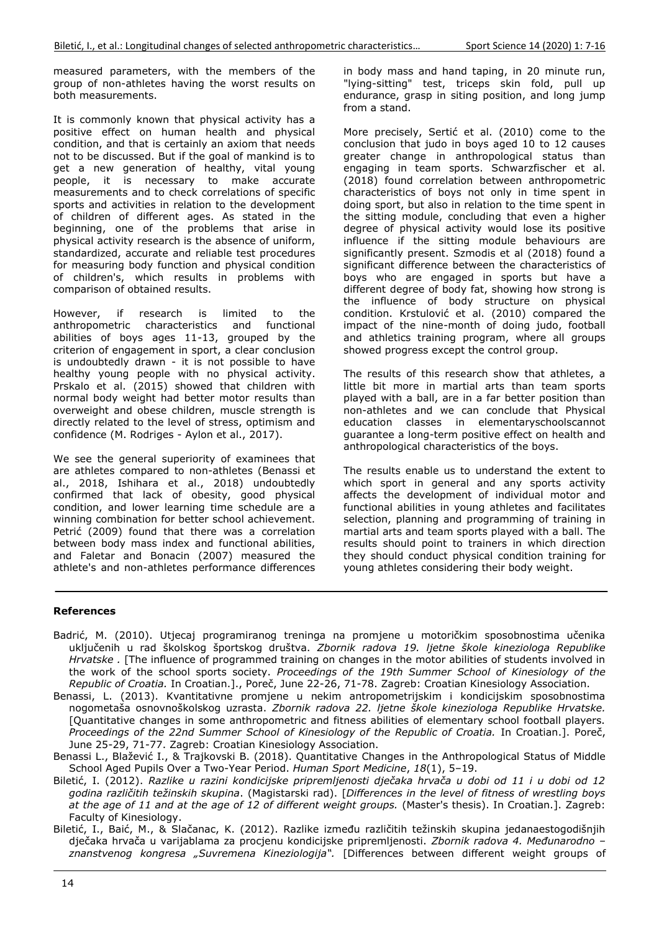measured parameters, with the members of the group of non-athletes having the worst results on both measurements.

It is commonly known that physical activity has a positive effect on human health and physical condition, and that is certainly an axiom that needs not to be discussed. But if the goal of mankind is to get a new generation of healthy, vital young people, it is necessary to make accurate measurements and to check correlations of specific sports and activities in relation to the development of children of different ages. As stated in the beginning, one of the problems that arise in physical activity research is the absence of uniform, standardized, accurate and reliable test procedures for measuring body function and physical condition of children's, which results in problems with comparison of obtained results.

However, if research is limited to the anthropometric characteristics and functional abilities of boys ages 11-13, grouped by the criterion of engagement in sport, a clear conclusion is undoubtedly drawn - it is not possible to have healthy young people with no physical activity. Prskalo et al. (2015) showed that children with normal body weight had better motor results than overweight and obese children, muscle strength is directly related to the level of stress, optimism and confidence (M. Rodriges - Aylon et al., 2017).

We see the general superiority of examinees that are athletes compared to non-athletes (Benassi et al., 2018, Ishihara et al., 2018) undoubtedly confirmed that lack of obesity, good physical condition, and lower learning time schedule are a winning combination for better school achievement. Petrić (2009) found that there was a correlation between body mass index and functional abilities, and Faletar and Bonacin (2007) measured the athlete's and non-athletes performance differences in body mass and hand taping, in 20 minute run, "lying-sitting" test, triceps skin fold, pull up endurance, grasp in siting position, and long jump from a stand.

More precisely, Sertić et al. (2010) come to the conclusion that judo in boys aged 10 to 12 causes greater change in anthropological status than engaging in team sports. Schwarzfischer et al. (2018) found correlation between anthropometric characteristics of boys not only in time spent in doing sport, but also in relation to the time spent in the sitting module, concluding that even a higher degree of physical activity would lose its positive influence if the sitting module behaviours are significantly present. Szmodis et al (2018) found a significant difference between the characteristics of boys who are engaged in sports but have a different degree of body fat, showing how strong is the influence of body structure on physical condition. Krstulović et al. (2010) compared the impact of the nine-month of doing judo, football and athletics training program, where all groups showed progress except the control group.

The results of this research show that athletes, a little bit more in martial arts than team sports played with a ball, are in a far better position than non-athletes and we can conclude that Physical education classes in elementaryschoolscannot guarantee a long-term positive effect on health and anthropological characteristics of the boys.

The results enable us to understand the extent to which sport in general and any sports activity affects the development of individual motor and functional abilities in young athletes and facilitates selection, planning and programming of training in martial arts and team sports played with a ball. The results should point to trainers in which direction they should conduct physical condition training for young athletes considering their body weight.

### **References**

- Badrić, M. (2010). Utjecaj programiranog treninga na promjene u motoričkim sposobnostima učenika uključenih u rad školskog športskog društva. *Zbornik radova 19. ljetne škole kineziologa Republike Hrvatske .* [The influence of programmed training on changes in the motor abilities of students involved in the work of the school sports society. *Proceedings of the 19th Summer School of Kinesiology of the Republic of Croatia.* In Croatian.]., Poreč, June 22-26, 71-78. Zagreb: Croatian Kinesiology Association.
- Benassi, L. (2013). Kvantitativne promjene u nekim antropometrijskim i kondicijskim sposobnostima nogometaša osnovnoškolskog uzrasta. *Zbornik radova 22. ljetne škole kineziologa Republike Hrvatske.* [Quantitative changes in some anthropometric and fitness abilities of elementary school football players. *Proceedings of the 22nd Summer School of Kinesiology of the Republic of Croatia.* In Croatian.]. Poreč, June 25-29, 71-77. Zagreb: Croatian Kinesiology Association.
- Benassi L., Blažević I., & Trajkovski B. (2018). Quantitative Changes in the Anthropological Status of Middle School Aged Pupils Over a Two-Year Period. *Human Sport Medicine*, *18*(1), 5–19.
- Biletić, I. (2012). *Razlike u razini kondicijske pripremljenosti dječaka hrvača u dobi od 11 i u dobi od 12 godina različitih težinskih skupina*. (Magistarski rad). [*Differences in the level of fitness of wrestling boys at the age of 11 and at the age of 12 of different weight groups.* (Master's thesis). In Croatian.]. Zagreb: Faculty of Kinesiology.
- Biletić, I., Baić, M., & Slačanac, K. (2012). Razlike između različitih težinskih skupina jedanaestogodišnjih dječaka hrvača u varijablama za procjenu kondicijske pripremljenosti. *Zbornik radova 4. Međunarodno – znanstvenog kongresa "Suvremena Kineziologija".* [Differences between different weight groups of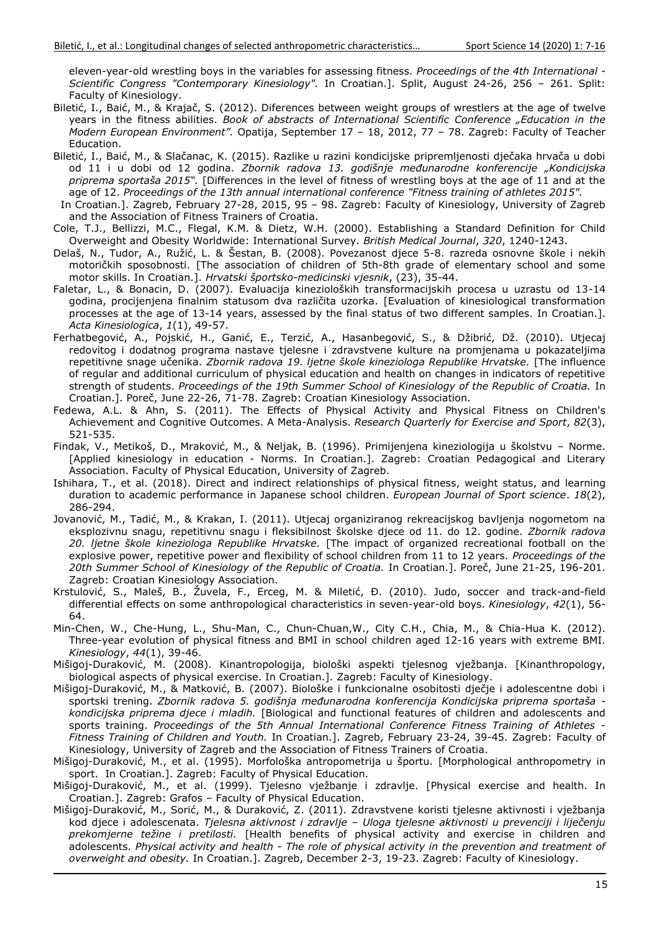eleven-year-old wrestling boys in the variables for assessing fitness. *Proceedings of the 4th International - Scientific Congress "Contemporary Kinesiology".* In Croatian.]. Split, August 24-26, 256 – 261. Split: Faculty of Kinesiology.

- Biletić, I., Baić, M., & Krajač, S. (2012). Diferences between weight groups of wrestlers at the age of twelve years in the fitness abilities. *Book of abstracts of International Scientific Conference "Education in the Modern European Environment".* Opatija, September 17 – 18, 2012, 77 – 78. Zagreb: Faculty of Teacher Education.
- Biletić, I., Baić, M., & Slačanac, K. (2015). Razlike u razini kondicijske pripremljenosti dječaka hrvača u dobi od 11 i u dobi od 12 godina. *Zbornik radova 13. godišnje međunarodne konferencije "Kondicijska priprema sportaša 2015".* [Differences in the level of fitness of wrestling boys at the age of 11 and at the age of 12. *Proceedings of the 13th annual international conference "Fitness training of athletes 2015".*
- In Croatian.]. Zagreb, February 27-28, 2015, 95 98. Zagreb: Faculty of Kinesiology, University of Zagreb and the Association of Fitness Trainers of Croatia.
- Cole, T.J., Bellizzi, M.C., Flegal, K.M. & Dietz, W.H. (2000). Establishing a Standard Definition for Child Overweight and Obesity Worldwide: International Survey. *British Medical Journal*, *320*, 1240-1243.
- Delaš, N., Tudor, A., Ružić, L. & Šestan, B. (2008). Povezanost djece 5-8. razreda osnovne škole i nekih motoričkih sposobnosti. [The association of children of 5th-8th grade of elementary school and some motor skills. In Croatian.]. *Hrvatski športsko-medicinski vjesnik*, (23), 35-44.
- Faletar, L., & Bonacin, D. (2007). Evaluacija kinezioloških transformacijskih procesa u uzrastu od 13-14 godina, procijenjena finalnim statusom dva različita uzorka. [Evaluation of kinesiological transformation processes at the age of 13-14 years, assessed by the final status of two different samples. In Croatian.]. *Acta Kinesiologica*, *1*(1), 49-57.
- Ferhatbegović, A., Pojskić, H., Ganić, E., Terzić, A., Hasanbegović, S., & Džibrić, Dž. (2010). Utjecaj redovitog i dodatnog programa nastave tjelesne i zdravstvene kulture na promjenama u pokazateljima repetitivne snage učenika. *Zbornik radova 19. ljetne škole kineziologa Republike Hrvatske.* [The influence of regular and additional curriculum of physical education and health on changes in indicators of repetitive strength of students. *Proceedings of the 19th Summer School of Kinesiology of the Republic of Croatia.* In Croatian.]. Poreč, June 22-26, 71-78. Zagreb: Croatian Kinesiology Association.
- Fedewa, A.L. & Ahn, S. (2011). The Effects of Physical Activity and Physical Fitness on Children's Achievement and Cognitive Outcomes. A Meta-Analysis. *Research Quarterly for Exercise and Sport*, *82*(3), 521-535.
- Findak, V., Metikoš, D., Mraković, M., & Neljak, B. (1996). Primijenjena kineziologija u školstvu Norme. [Applied kinesiology in education - Norms. In Croatian.]. Zagreb: Croatian Pedagogical and Literary Association. Faculty of Physical Education, University of Zagreb.
- Ishihara, T., et al. (2018). Direct and indirect relationships of physical fitness, weight status, and learning duration to academic performance in Japanese school children. *European Journal of Sport science*. *18*(2), 286-294.
- Jovanović, M., Tadić, M., & Krakan, I. (2011). Utjecaj organiziranog rekreacijskog bavljenja nogometom na eksplozivnu snagu, repetitivnu snagu i fleksibilnost školske djece od 11. do 12. godine. *Zbornik radova 20. ljetne škole kineziologa Republike Hrvatske.* [The impact of organized recreational football on the explosive power, repetitive power and flexibility of school children from 11 to 12 years. *Proceedings of the 20th Summer School of Kinesiology of the Republic of Croatia.* In Croatian.]. Poreč, June 21-25, 196-201. Zagreb: Croatian Kinesiology Association.
- Krstulović, S., Maleš, B., Žuvela, F., Erceg, M. & Miletić, Đ. (2010). Judo, soccer and track-and-field differential effects on some anthropological characteristics in seven-year-old boys. *Kinesiology*, *42*(1), 56- 64.
- Min-Chen, W., Che-Hung, L., Shu-Man, C., Chun-Chuan,W., City C.H., Chia, M., & Chia-Hua K. (2012). Three-year evolution of physical fitness and BMI in school children aged 12-16 years with extreme BMI. *Kinesiology*, *44*(1), 39-46.
- Mišigoj-Duraković, M. (2008). Kinantropologija, biološki aspekti tjelesnog vježbanja. [Kinanthropology, biological aspects of physical exercise. In Croatian.]. Zagreb: Faculty of Kinesiology.
- Mišigoj-Duraković, M., & Matković, B. (2007). Biološke i funkcionalne osobitosti dječje i adolescentne dobi i sportski trening. *Zbornik radova 5. godišnja međunarodna konferencija Kondicijska priprema sportaša kondicijska priprema djece i mladih.* [Biological and functional features of children and adolescents and sports training. *Proceedings of the 5th Annual International Conference Fitness Training of Athletes - Fitness Training of Children and Youth.* In Croatian.]. Zagreb, February 23-24, 39-45. Zagreb: Faculty of Kinesiology, University of Zagreb and the Association of Fitness Trainers of Croatia.
- Mišigoj-Duraković, M., et al. (1995). Morfološka antropometrija u športu. [Morphological anthropometry in sport. In Croatian.]. Zagreb: Faculty of Physical Education.
- Mišigoj-Duraković, M., et al. (1999). Tjelesno vježbanje i zdravlje. [Physical exercise and health. In Croatian.]. Zagreb: Grafos – Faculty of Physical Education.
- Mišigoj-Duraković, M., Sorić, M., & Duraković, Z. (2011). Zdravstvene koristi tjelesne aktivnosti i vježbanja kod djece i adolescenata. *Tjelesna aktivnost i zdravlje – Uloga tjelesne aktivnosti u prevenciji i liječenju prekomjerne težine i pretilosti.* [Health benefits of physical activity and exercise in children and adolescents. *Physical activity and health - The role of physical activity in the prevention and treatment of overweight and obesity.* In Croatian.]. Zagreb, December 2-3, 19-23. Zagreb: Faculty of Kinesiology.